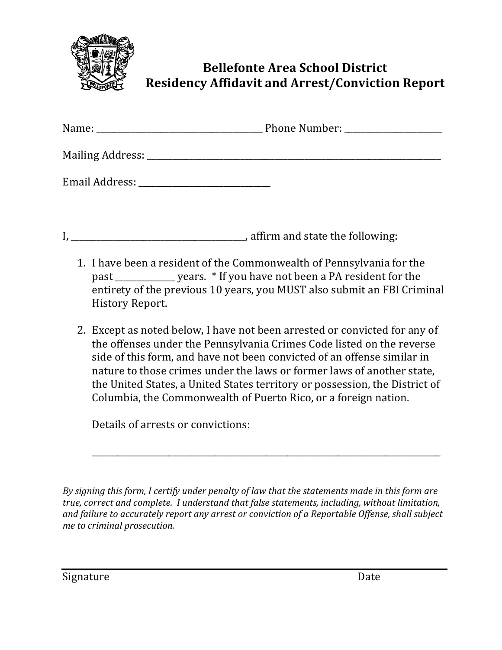

## **Bellefonte Area School District Residency Affidavit and Arrest/Conviction Report**

| Name:              | <b>Phone Number:</b> |
|--------------------|----------------------|
| Mailing Address: _ |                      |
| Email Address:     |                      |

I, \_\_\_\_\_\_\_\_\_\_\_\_\_\_\_\_\_\_\_\_\_\_\_\_\_\_\_\_\_\_\_\_\_\_\_\_\_\_\_\_\_, affirm and state the following:

- 1. I have been a resident of the Commonwealth of Pennsylvania for the past vears. \* If you have not been a PA resident for the entirety of the previous 10 years, you MUST also submit an FBI Criminal History Report.
- 2. Except as noted below, I have not been arrested or convicted for any of the offenses under the Pennsylvania Crimes Code listed on the reverse side of this form, and have not been convicted of an offense similar in nature to those crimes under the laws or former laws of another state, the United States, a United States territory or possession, the District of Columbia, the Commonwealth of Puerto Rico, or a foreign nation.

\_\_\_\_\_\_\_\_\_\_\_\_\_\_\_\_\_\_\_\_\_\_\_\_\_\_\_\_\_\_\_\_\_\_\_\_\_\_\_\_\_\_\_\_\_\_\_\_\_\_\_\_\_\_\_\_\_\_\_\_\_\_\_\_\_\_\_\_\_\_\_\_\_\_\_\_\_\_\_\_\_\_

Details of arrests or convictions:

*By signing this form, I certify under penalty of law that the statements made in this form are true, correct and complete. I understand that false statements, including, without limitation,* and failure to accurately report any arrest or conviction of a Reportable Offense, shall subject *me to criminal prosecution.*

Signature Date